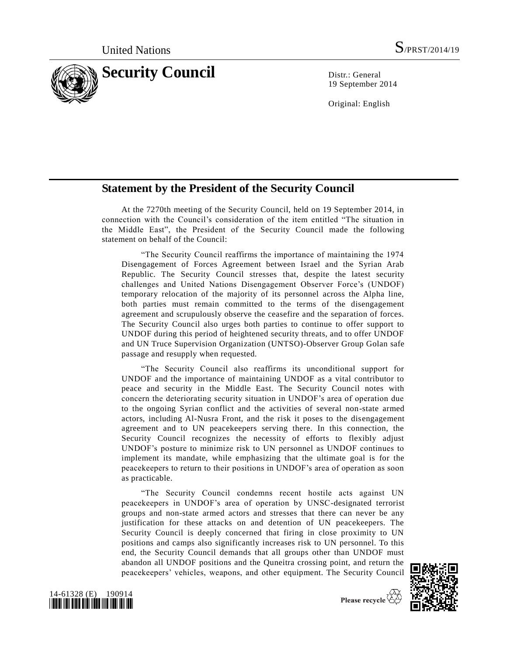

19 September 2014

Original: English

## **Statement by the President of the Security Council**

At the 7270th meeting of the Security Council, held on 19 September 2014, in connection with the Council's consideration of the item entitled "The situation in the Middle East", the President of the Security Council made the following statement on behalf of the Council:

"The Security Council reaffirms the importance of maintaining the 1974 Disengagement of Forces Agreement between Israel and the Syrian Arab Republic. The Security Council stresses that, despite the latest security challenges and United Nations Disengagement Observer Force's (UNDOF) temporary relocation of the majority of its personnel across the Alpha line, both parties must remain committed to the terms of the disengagement agreement and scrupulously observe the ceasefire and the separation of forces. The Security Council also urges both parties to continue to offer support to UNDOF during this period of heightened security threats, and to offer UNDOF and UN Truce Supervision Organization (UNTSO)-Observer Group Golan safe passage and resupply when requested.

"The Security Council also reaffirms its unconditional support for UNDOF and the importance of maintaining UNDOF as a vital contributor to peace and security in the Middle East. The Security Council notes with concern the deteriorating security situation in UNDOF's area of operation due to the ongoing Syrian conflict and the activities of several non-state armed actors, including Al-Nusra Front, and the risk it poses to the disengagement agreement and to UN peacekeepers serving there. In this connection, the Security Council recognizes the necessity of efforts to flexibly adjust UNDOF's posture to minimize risk to UN personnel as UNDOF continues to implement its mandate, while emphasizing that the ultimate goal is for the peacekeepers to return to their positions in UNDOF's area of operation as soon as practicable.

"The Security Council condemns recent hostile acts against UN peacekeepers in UNDOF's area of operation by UNSC-designated terrorist groups and non-state armed actors and stresses that there can never be any justification for these attacks on and detention of UN peacekeepers. The Security Council is deeply concerned that firing in close proximity to UN positions and camps also significantly increases risk to UN personnel. To this end, the Security Council demands that all groups other than UNDOF must abandon all UNDOF positions and the Quneitra crossing point, and return the peacekeepers' vehicles, weapons, and other equipment. The Security Council